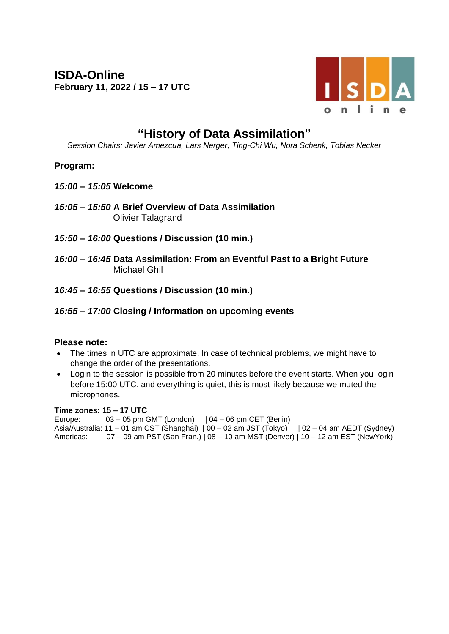

# **"History of Data Assimilation"**

*Session Chairs: Javier Amezcua, Lars Nerger, Ting-Chi Wu, Nora Schenk, Tobias Necker*

# **Program:**

- *15:00 – 15:05* **Welcome**
- *15:05 – 15:50* **A Brief Overview of Data Assimilation** Olivier Talagrand
- *15:50 – 16:00* **Questions / Discussion (10 min.)**
- *16:00 – 16:45* **Data Assimilation: From an Eventful Past to a Bright Future** Michael Ghil
- *16:45 – 16:55* **Questions / Discussion (10 min.)**

## *16:55 – 17:00* **Closing / Information on upcoming events**

## **Please note:**

- The times in UTC are approximate. In case of technical problems, we might have to change the order of the presentations.
- Login to the session is possible from 20 minutes before the event starts. When you login before 15:00 UTC, and everything is quiet, this is most likely because we muted the microphones.

#### **Time zones: 15 – 17 UTC**

Europe:  $03 - 05$  pm GMT (London) |  $04 - 06$  pm CET (Berlin) Asia/Australia: 11 – 01 am CST (Shanghai) | 00 – 02 am JST (Tokyo) | 02 – 04 am AEDT (Sydney) Americas:  $07 - 09$  am PST (San Fran.) |  $08 - 10$  am MST (Denver) |  $10 - 12$  am EST (NewYork)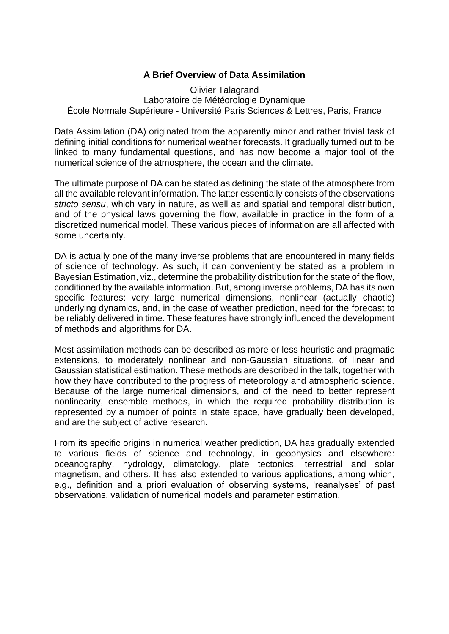## **A Brief Overview of Data Assimilation**

Olivier Talagrand Laboratoire de Météorologie Dynamique École Normale Supérieure - Université Paris Sciences & Lettres, Paris, France

Data Assimilation (DA) originated from the apparently minor and rather trivial task of defining initial conditions for numerical weather forecasts. It gradually turned out to be linked to many fundamental questions, and has now become a major tool of the numerical science of the atmosphere, the ocean and the climate.

The ultimate purpose of DA can be stated as defining the state of the atmosphere from all the available relevant information. The latter essentially consists of the observations *stricto sensu*, which vary in nature, as well as and spatial and temporal distribution, and of the physical laws governing the flow, available in practice in the form of a discretized numerical model. These various pieces of information are all affected with some uncertainty.

DA is actually one of the many inverse problems that are encountered in many fields of science of technology. As such, it can conveniently be stated as a problem in Bayesian Estimation, viz., determine the probability distribution for the state of the flow, conditioned by the available information. But, among inverse problems, DA has its own specific features: very large numerical dimensions, nonlinear (actually chaotic) underlying dynamics, and, in the case of weather prediction, need for the forecast to be reliably delivered in time. These features have strongly influenced the development of methods and algorithms for DA.

Most assimilation methods can be described as more or less heuristic and pragmatic extensions, to moderately nonlinear and non-Gaussian situations, of linear and Gaussian statistical estimation. These methods are described in the talk, together with how they have contributed to the progress of meteorology and atmospheric science. Because of the large numerical dimensions, and of the need to better represent nonlinearity, ensemble methods, in which the required probability distribution is represented by a number of points in state space, have gradually been developed, and are the subject of active research.

From its specific origins in numerical weather prediction, DA has gradually extended to various fields of science and technology, in geophysics and elsewhere: oceanography, hydrology, climatology, plate tectonics, terrestrial and solar magnetism, and others. It has also extended to various applications, among which, e.g., definition and a priori evaluation of observing systems, 'reanalyses' of past observations, validation of numerical models and parameter estimation.